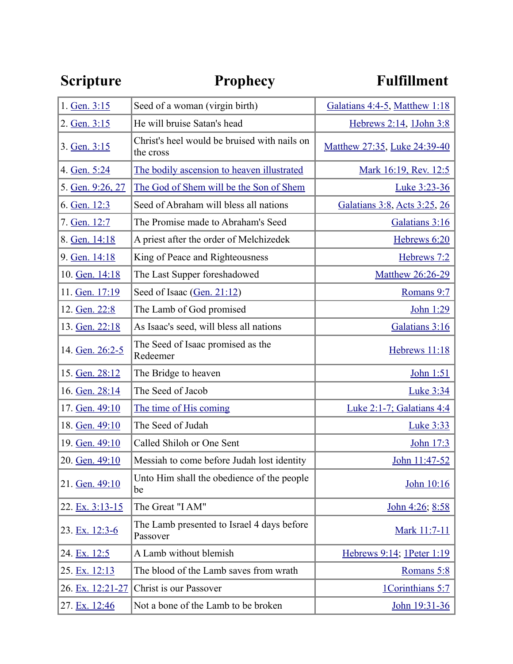| <b>Scripture</b> | <b>Prophecy</b>                                           | <b>Fulfillment</b>                  |
|------------------|-----------------------------------------------------------|-------------------------------------|
| 1. Gen. 3:15     | Seed of a woman (virgin birth)                            | Galatians 4:4-5, Matthew 1:18       |
| 2. Gen. 3:15     | He will bruise Satan's head                               | Hebrews 2:14, 1John 3:8             |
| 3. Gen. 3:15     | Christ's heel would be bruised with nails on<br>the cross | <u>Matthew 27:35, Luke 24:39-40</u> |
| 4. Gen. 5:24     | The bodily ascension to heaven illustrated                | Mark 16:19, Rev. 12:5               |
| 5. Gen. 9:26, 27 | The God of Shem will be the Son of Shem                   | Luke 3:23-36                        |
| 6. Gen. 12:3     | Seed of Abraham will bless all nations                    | Galatians 3:8, Acts 3:25, 26        |
| 7. Gen. 12:7     | The Promise made to Abraham's Seed                        | Galatians 3:16                      |
| 8. Gen. 14:18    | A priest after the order of Melchizedek                   | Hebrews 6:20                        |
| 9. Gen. 14:18    | King of Peace and Righteousness                           | Hebrews 7:2                         |
| 10. Gen. 14:18   | The Last Supper foreshadowed                              | Matthew 26:26-29                    |
| 11. Gen. 17:19   | Seed of Isaac (Gen. 21:12)                                | Romans 9:7                          |
| 12. Gen. 22:8    | The Lamb of God promised                                  | John 1:29                           |
| 13. Gen. 22:18   | As Isaac's seed, will bless all nations                   | Galatians 3:16                      |
| 14. Gen. 26:2-5  | The Seed of Isaac promised as the<br>Redeemer             | Hebrews 11:18                       |
| 15. Gen. 28:12   | The Bridge to heaven                                      | John 1:51                           |
| 16. Gen. 28:14   | The Seed of Jacob                                         | Luke 3:34                           |
| 17. Gen. 49:10   | The time of His coming                                    | Luke 2:1-7; Galatians 4:4           |
| 18. Gen. 49:10   | The Seed of Judah                                         | <u>Luke 3:33</u>                    |
| 19. Gen. 49:10   | Called Shiloh or One Sent                                 | John 17:3                           |
| 20. Gen. 49:10   | Messiah to come before Judah lost identity                | John 11:47-52                       |
| 21. Gen. 49:10   | Unto Him shall the obedience of the people<br>be          | John 10:16                          |
| 22. Ex. 3:13-15  | The Great "I AM"                                          | John 4:26; 8:58                     |
| 23. Ex. 12:3-6   | The Lamb presented to Israel 4 days before<br>Passover    | Mark 11:7-11                        |
| 24. Ex. 12:5     | A Lamb without blemish                                    | Hebrews 9:14; 1Peter 1:19           |
| 25. Ex. 12:13    | The blood of the Lamb saves from wrath                    | Romans 5:8                          |
| 26. Ex. 12:21-27 | Christ is our Passover                                    | 1Corinthians 5:7                    |
| 27. Ex. 12:46    | Not a bone of the Lamb to be broken                       | John 19:31-36                       |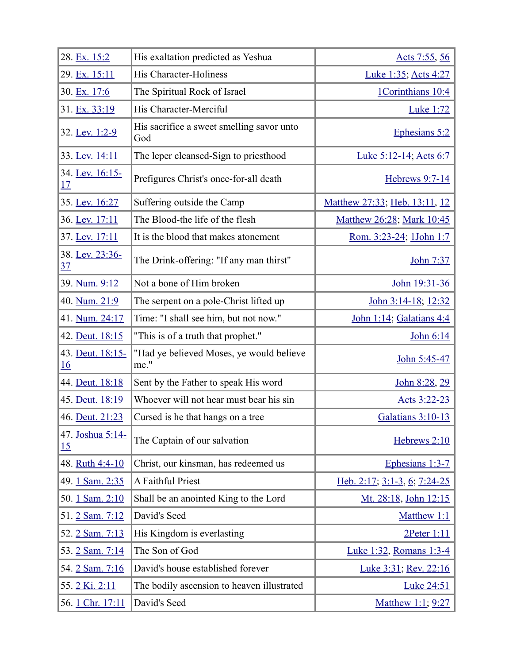| 28. Ex. 15:2                  | His exaltation predicted as Yeshua               | Acts 7:55, 56                 |
|-------------------------------|--------------------------------------------------|-------------------------------|
| 29. Ex. 15:11                 | His Character-Holiness                           | Luke 1:35; Acts 4:27          |
| 30. Ex. 17:6                  | The Spiritual Rock of Israel                     | 1Corinthians 10:4             |
| 31. Ex. 33:19                 | His Character-Merciful                           | <b>Luke 1:72</b>              |
| 32. Lev. 1:2-9                | His sacrifice a sweet smelling savor unto<br>God | Ephesians 5:2                 |
| 33. Lev. 14:11                | The leper cleansed-Sign to priesthood            | <u>Luke 5:12-14; Acts 6:7</u> |
| 34. Lev. 16:15-<br>17         | Prefigures Christ's once-for-all death           | Hebrews 9:7-14                |
| 35. Lev. 16:27                | Suffering outside the Camp                       | Matthew 27:33; Heb. 13:11, 12 |
| 36. Lev. 17:11                | The Blood-the life of the flesh                  | Matthew 26:28; Mark 10:45     |
| 37. Lev. 17:11                | It is the blood that makes atonement             | Rom. 3:23-24; 1John 1:7       |
| 38. Lev. 23:36-<br><u>37</u>  | The Drink-offering: "If any man thirst"          | John 7:37                     |
| 39. Num. 9:12                 | Not a bone of Him broken                         | John 19:31-36                 |
| 40. Num. 21:9                 | The serpent on a pole-Christ lifted up           | John 3:14-18; 12:32           |
| 41. Num. 24:17                | Time: "I shall see him, but not now."            | John 1:14; Galatians 4:4      |
| 42. Deut. 18:15               | "This is of a truth that prophet."               | John 6:14                     |
| 43. Deut. 18:15-<br><u>16</u> | "Had ye believed Moses, ye would believe<br>me." | John 5:45-47                  |
| 44. Deut. 18:18               | Sent by the Father to speak His word             | John 8:28, 29                 |
| 45. Deut. 18:19               | Whoever will not hear must bear his sin          | Acts 3:22-23                  |
| 46. Deut. 21:23               | Cursed is he that hangs on a tree                | Galatians 3:10-13             |
| 47. Joshua 5:14-<br>15        | The Captain of our salvation                     | Hebrews 2:10                  |
| 48. Ruth 4:4-10               | Christ, our kinsman, has redeemed us             | Ephesians 1:3-7               |
| 49. 1 Sam. 2:35               | A Faithful Priest                                | Heb. 2:17; 3:1-3, 6; 7:24-25  |
| 50. 1 Sam. 2:10               | Shall be an anointed King to the Lord            | Mt. 28:18, John 12:15         |
| 51.2 Sam. 7:12                | David's Seed                                     | Matthew 1:1                   |
| 52. 2 Sam. 7:13               | His Kingdom is everlasting                       | $2$ Peter $1:11$              |
| 53. 2 Sam. 7:14               | The Son of God                                   | Luke 1:32, Romans 1:3-4       |
| 54. 2 Sam. 7:16               | David's house established forever                | <u>Luke 3:31; Rev. 22:16</u>  |
| 55. 2 Ki. 2:11                | The bodily ascension to heaven illustrated       | <b>Luke 24:51</b>             |
| 56. 1 Chr. 17:11              | David's Seed                                     | Matthew 1:1; 9:27             |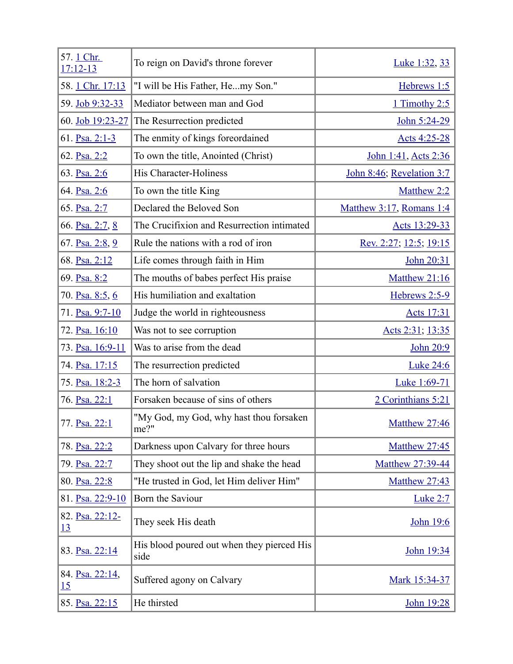| 57. 1 Chr.<br>$17:12-13$     | To reign on David's throne forever                 | <u>Luke 1:32, 33</u>      |
|------------------------------|----------------------------------------------------|---------------------------|
| 58. 1 Chr. 17:13             | "I will be His Father, Hemy Son."                  | Hebrews 1:5               |
| 59. Job 9:32-33              | Mediator between man and God                       | 1 Timothy 2:5             |
| 60. Job 19:23-27             | The Resurrection predicted                         | John 5:24-29              |
| 61. Psa. 2:1-3               | The enmity of kings foreordained                   | Acts 4:25-28              |
| 62. Psa. 2:2                 | To own the title, Anointed (Christ)                | John 1:41, Acts 2:36      |
| 63. Psa. 2:6                 | His Character-Holiness                             | John 8:46; Revelation 3:7 |
| 64. Psa. 2:6                 | To own the title King                              | Matthew 2:2               |
| 65. Psa. 2:7                 | Declared the Beloved Son                           | Matthew 3:17, Romans 1:4  |
| 66. Psa. 2:7, 8              | The Crucifixion and Resurrection intimated         | Acts 13:29-33             |
| 67. Psa. 2:8, 9              | Rule the nations with a rod of iron                | Rev. 2:27; 12:5; 19:15    |
| 68. Psa. 2:12                | Life comes through faith in Him                    | John 20:31                |
| 69. Psa. 8:2                 | The mouths of babes perfect His praise             | Matthew 21:16             |
| 70. Psa. 8:5, 6              | His humiliation and exaltation                     | Hebrews 2:5-9             |
| 71. Psa. 9:7-10              | Judge the world in righteousness                   | <u>Acts 17:31</u>         |
| 72. Psa. 16:10               | Was not to see corruption                          | Acts 2:31; 13:35          |
| 73. Psa. 16:9-11             | Was to arise from the dead                         | John 20:9                 |
| 74. Psa. 17:15               | The resurrection predicted                         | <b>Luke 24:6</b>          |
| 75. Psa. 18:2-3              | The horn of salvation                              | Luke 1:69-71              |
| 76. Psa. 22:1                | Forsaken because of sins of others                 | 2 Corinthians 5:21        |
| 77. Psa. 22:1                | "My God, my God, why hast thou forsaken<br>me?"    | <b>Matthew 27:46</b>      |
| 78. Psa. 22:2                | Darkness upon Calvary for three hours              | Matthew 27:45             |
| 79. Psa. 22:7                | They shoot out the lip and shake the head          | Matthew 27:39-44          |
| 80. Psa. 22:8                | "He trusted in God, let Him deliver Him"           | <b>Matthew 27:43</b>      |
| 81. Psa. 22:9-10             | Born the Saviour                                   | <b>Luke 2:7</b>           |
| 82. Psa. 22:12-<br><u>13</u> | They seek His death                                | John 19:6                 |
| 83. Psa. 22:14               | His blood poured out when they pierced His<br>side | John 19:34                |
| 84. Psa. 22:14,<br>15        | Suffered agony on Calvary                          | Mark 15:34-37             |
| 85. Psa. 22:15               | He thirsted                                        | <u>John 19:28</u>         |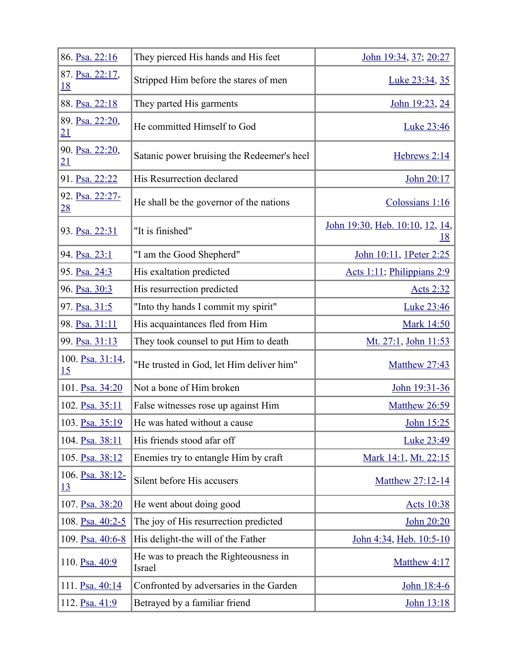| 86. Psa. 22:16                | They pierced His hands and His feet             | John 19:34, 37; 20:27                        |
|-------------------------------|-------------------------------------------------|----------------------------------------------|
| 87. Psa. 22:17,<br><u>18</u>  | Stripped Him before the stares of men           | Luke 23:34, 35                               |
| 88. Psa. 22:18                | They parted His garments                        | John 19:23, 24                               |
| 89. Psa. 22:20,<br>21         | He committed Himself to God                     | Luke 23:46                                   |
| 90. Psa. 22:20,<br>21         | Satanic power bruising the Redeemer's heel      | Hebrews 2:14                                 |
| 91. Psa. 22:22                | His Resurrection declared                       | John 20:17                                   |
| 92. Psa. 22:27-<br><u>28</u>  | He shall be the governor of the nations         | Colossians 1:16                              |
| 93. Psa. 22:31                | "It is finished"                                | John 19:30, Heb. 10:10, 12, 14,<br><u>18</u> |
| 94. Psa. 23:1                 | "I am the Good Shepherd"                        | John 10:11, 1Peter 2:25                      |
| 95. Psa. 24:3                 | His exaltation predicted                        | Acts 1:11; Philippians 2:9                   |
| 96. Psa. 30:3                 | His resurrection predicted                      | <u>Acts 2:32</u>                             |
| 97. Psa. 31:5                 | "Into thy hands I commit my spirit"             | <b>Luke 23:46</b>                            |
| 98. Psa. 31:11                | His acquaintances fled from Him                 | <b>Mark 14:50</b>                            |
| 99. Psa. 31:13                | They took counsel to put Him to death           | Mt. 27:1, John 11:53                         |
| 100. Psa. 31:14,<br>15        | "He trusted in God, let Him deliver him"        | <b>Matthew 27:43</b>                         |
| 101. Psa. 34:20               | Not a bone of Him broken                        | John 19:31-36                                |
| 102. Psa. 35:11               | False witnesses rose up against Him             | Matthew 26:59                                |
| 103. Psa. 35:19               | He was hated without a cause                    | John 15:25                                   |
| 104. Psa. 38:11               | His friends stood afar off                      | <b>Luke 23:49</b>                            |
| 105. Psa. 38:12               | Enemies try to entangle Him by craft            | Mark 14:1, Mt. 22:15                         |
| 106. Psa. 38:12-<br><u>13</u> | Silent before His accusers                      | Matthew 27:12-14                             |
| 107. Psa. 38:20               | He went about doing good                        | Acts 10:38                                   |
| 108. Psa. 40:2-5              | The joy of His resurrection predicted           | John 20:20                                   |
| 109. Psa. 40:6-8              | His delight-the will of the Father              | John 4:34, Heb. 10:5-10                      |
| 110. Psa. 40:9                | He was to preach the Righteousness in<br>Israel | Matthew 4:17                                 |
| 111. Psa. 40:14               | Confronted by adversaries in the Garden         | John 18:4-6                                  |
| 112. Psa. 41:9                | Betrayed by a familiar friend                   | <u>John 13:18</u>                            |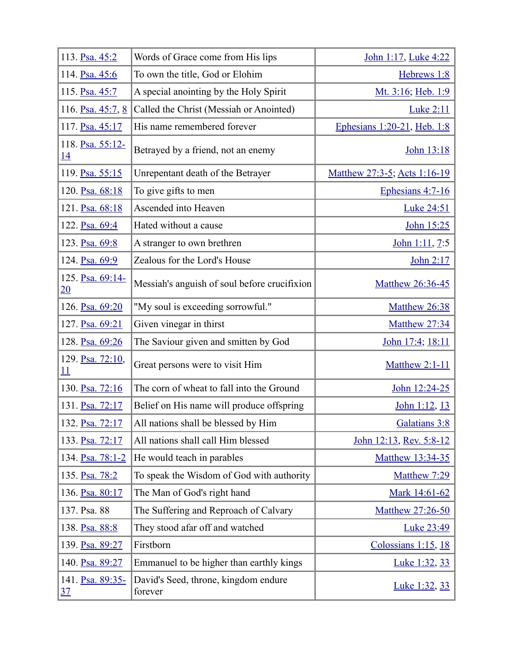| 113. Psa. 45:2                | Words of Grace come from His lips               | John 1:17, Luke 4:22         |
|-------------------------------|-------------------------------------------------|------------------------------|
| 114. Psa. 45:6                | To own the title, God or Elohim                 | Hebrews 1:8                  |
| 115. Psa. 45:7                | A special anointing by the Holy Spirit          | Mt. 3:16; Heb. 1:9           |
| 116. Psa. 45:7, 8             | Called the Christ (Messiah or Anointed)         | <b>Luke 2:11</b>             |
| 117. Psa. 45:17               | His name remembered forever                     | Ephesians 1:20-21, Heb. 1:8  |
| 118. Psa. 55:12-<br><u>14</u> | Betrayed by a friend, not an enemy              | John 13:18                   |
| 119. Psa. 55:15               | Unrepentant death of the Betrayer               | Matthew 27:3-5; Acts 1:16-19 |
| 120. Psa. 68:18               | To give gifts to men                            | Ephesians 4:7-16             |
| 121. Psa. 68:18               | Ascended into Heaven                            | <b>Luke 24:51</b>            |
| 122. Psa. 69:4                | Hated without a cause                           | John 15:25                   |
| 123. Psa. 69:8                | A stranger to own brethren                      | John 1:11, 7:5               |
| 124. Psa. 69:9                | Zealous for the Lord's House                    | John 2:17                    |
| 125. Psa. 69:14-<br>20        | Messiah's anguish of soul before crucifixion    | Matthew 26:36-45             |
| 126. Psa. 69:20               | "My soul is exceeding sorrowful."               | Matthew 26:38                |
| 127. Psa. 69:21               | Given vinegar in thirst                         | Matthew 27:34                |
| 128. Psa. 69:26               | The Saviour given and smitten by God            | John 17:4; 18:11             |
| 129. Psa. 72:10,<br>11        | Great persons were to visit Him                 | <b>Matthew 2:1-11</b>        |
| 130. Psa. 72:16               | The corn of wheat to fall into the Ground       | John 12:24-25                |
| 131. Psa. 72:17               | Belief on His name will produce offspring       | John 1:12, 13                |
| 132. Psa. 72:17               | All nations shall be blessed by Him             | Galatians 3:8                |
| 133. Psa. 72:17               | All nations shall call Him blessed              | John 12:13, Rev. 5:8-12      |
| 134. Psa. 78:1-2              | He would teach in parables                      | Matthew 13:34-35             |
| 135. Psa. 78:2                | To speak the Wisdom of God with authority       | Matthew 7:29                 |
| 136. Psa. 80:17               | The Man of God's right hand                     | Mark 14:61-62                |
| 137. Psa. 88                  | The Suffering and Reproach of Calvary           | Matthew 27:26-50             |
| 138. Psa. 88:8                | They stood afar off and watched                 | Luke 23:49                   |
| 139. Psa. 89:27               | Firstborn                                       | Colossians 1:15, 18          |
| 140. Psa. 89:27               | Emmanuel to be higher than earthly kings        | Luke 1:32, 33                |
| 141. Psa. 89:35-<br><u>37</u> | David's Seed, throne, kingdom endure<br>forever | <u>Luke 1:32, 33</u>         |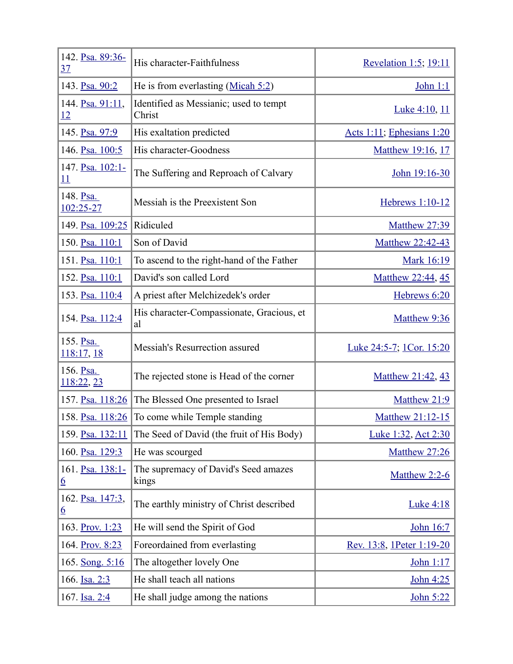| 142. Psa. 89:36-<br><u>37</u>  | His character-Faithfulness                       | Revelation 1:5; 19:11           |
|--------------------------------|--------------------------------------------------|---------------------------------|
| 143. Psa. 90:2                 | He is from everlasting $(Micah 5:2)$             | John 1:1                        |
| 144. Psa. 91:11,<br>12         | Identified as Messianic; used to tempt<br>Christ | Luke 4:10, 11                   |
| 145. Psa. 97:9                 | His exaltation predicted                         | Acts 1:11; Ephesians 1:20       |
| 146. Psa. 100:5                | His character-Goodness                           | Matthew 19:16, 17               |
| 147. Psa. 102:1-<br><u> 11</u> | The Suffering and Reproach of Calvary            | John 19:16-30                   |
| 148. Psa.<br>102:25-27         | Messiah is the Preexistent Son                   | Hebrews 1:10-12                 |
| 149. Psa. 109:25               | Ridiculed                                        | Matthew 27:39                   |
| 150. Psa. 110:1                | Son of David                                     | Matthew 22:42-43                |
| 151. Psa. 110:1                | To ascend to the right-hand of the Father        | <b>Mark 16:19</b>               |
| 152. Psa. 110:1                | David's son called Lord                          | Matthew 22:44, 45               |
| 153. Psa. 110:4                | A priest after Melchizedek's order               | Hebrews 6:20                    |
| 154. Psa. 112:4                | His character-Compassionate, Gracious, et<br>al  | Matthew 9:36                    |
| 155. Psa.<br>118:17, 18        | Messiah's Resurrection assured                   | <u>Luke 24:5-7; 1Cor. 15:20</u> |
| 156. Psa.<br>118:22, 23        | The rejected stone is Head of the corner         | Matthew 21:42, 43               |
| 157. Psa. 118:26               | The Blessed One presented to Israel              | Matthew 21:9                    |
| 158. Psa. 118:26               | To come while Temple standing                    | Matthew 21:12-15                |
| 159. Psa. 132:11               | The Seed of David (the fruit of His Body)        | Luke 1:32, Act 2:30             |
| 160. Psa. 129:3                | He was scourged                                  | Matthew 27:26                   |
| 161. Psa. 138:1-<br><u>6</u>   | The supremacy of David's Seed amazes<br>kings    | Matthew 2:2-6                   |
| 162. Psa. 147:3,<br><u>6</u>   | The earthly ministry of Christ described         | <b>Luke 4:18</b>                |
| 163. Prov. 1:23                | He will send the Spirit of God                   | John 16:7                       |
| 164. Prov. 8:23                | Foreordained from everlasting                    | Rev. 13:8, 1Peter 1:19-20       |
| 165. Song. 5:16                | The altogether lovely One                        | John 1:17                       |
| 166. Isa. 2:3                  | He shall teach all nations                       | <u>John 4:25</u>                |
| 167. Isa. 2:4                  | He shall judge among the nations                 | <u>John 5:22</u>                |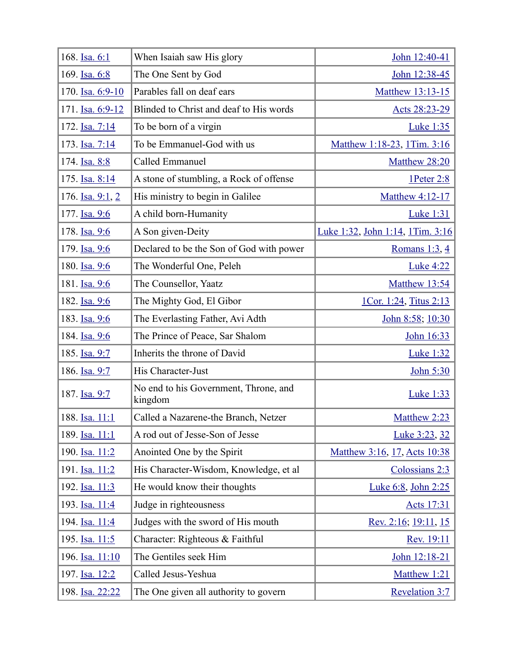| 168. Isa. 6:1        | When Isaiah saw His glory                        | John 12:40-41                           |
|----------------------|--------------------------------------------------|-----------------------------------------|
| 169. Isa. 6:8        | The One Sent by God                              | John 12:38-45                           |
| 170. Isa. 6:9-10     | Parables fall on deaf ears                       | Matthew 13:13-15                        |
| 171. Isa. 6:9-12     | Blinded to Christ and deaf to His words          | Acts 28:23-29                           |
| 172. Isa. 7:14       | To be born of a virgin                           | <b>Luke 1:35</b>                        |
| 173. Isa. 7:14       | To be Emmanuel-God with us                       | Matthew 1:18-23, 1Tim. 3:16             |
| 174. Isa. 8:8        | Called Emmanuel                                  | Matthew 28:20                           |
| 175. Isa. 8:14       | A stone of stumbling, a Rock of offense          | 1Peter 2:8                              |
| 176. Isa. 9:1, 2     | His ministry to begin in Galilee                 | Matthew 4:12-17                         |
| 177. Isa. 9:6        | A child born-Humanity                            | <b>Luke 1:31</b>                        |
| 178. Isa. 9:6        | A Son given-Deity                                | <u>Luke 1:32, John 1:14, 1Tim. 3:16</u> |
| 179. Isa. 9:6        | Declared to be the Son of God with power         | Romans $1:3, 4$                         |
| 180. Isa. 9:6        | The Wonderful One, Peleh                         | <b>Luke 4:22</b>                        |
| 181. Isa. 9:6        | The Counsellor, Yaatz                            | Matthew 13:54                           |
| 182. Isa. 9:6        | The Mighty God, El Gibor                         | <u>1Cor. 1:24, Titus 2:13</u>           |
| 183. Isa. 9:6        | The Everlasting Father, Avi Adth                 | John 8:58; 10:30                        |
| 184. Isa. 9:6        | The Prince of Peace, Sar Shalom                  | John 16:33                              |
| 185. Isa. 9:7        | Inherits the throne of David                     | <b>Luke 1:32</b>                        |
| 186. <u>Isa. 9:7</u> | His Character-Just                               | John 5:30                               |
| 187. Isa. 9:7        | No end to his Government, Throne, and<br>kingdom | <b>Luke 1:33</b>                        |
| 188. Isa. 11:1       | Called a Nazarene-the Branch, Netzer             | Matthew 2:23                            |
| 189. Isa. 11:1       | A rod out of Jesse-Son of Jesse                  | Luke 3:23, 32                           |
| 190. Isa. 11:2       | Anointed One by the Spirit                       | Matthew 3:16, 17, Acts 10:38            |
| 191. Isa. 11:2       | His Character-Wisdom, Knowledge, et al           | Colossians 2:3                          |
| 192. Isa. 11:3       | He would know their thoughts                     | Luke 6:8, John 2:25                     |
| 193. Isa. 11:4       | Judge in righteousness                           | Acts 17:31                              |
| 194. Isa. 11:4       | Judges with the sword of His mouth               | Rev. 2:16; 19:11, 15                    |
| 195. Isa. 11:5       | Character: Righteous & Faithful                  | Rev. 19:11                              |
| 196. Isa. 11:10      | The Gentiles seek Him                            | John 12:18-21                           |
| 197. Isa. 12:2       | Called Jesus-Yeshua                              | Matthew 1:21                            |
| 198. Isa. 22:22      | The One given all authority to govern            | Revelation 3:7                          |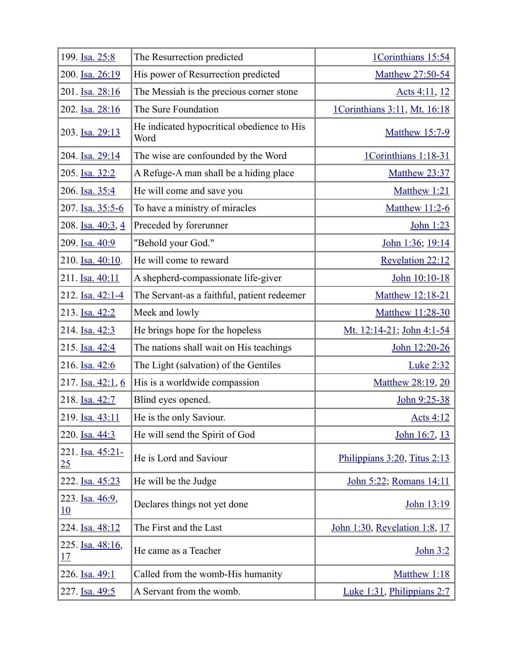| 199. Isa. 25:8         | The Resurrection predicted                         | 1Corinthians 15:54              |
|------------------------|----------------------------------------------------|---------------------------------|
| 200. Isa. 26:19        | His power of Resurrection predicted                | Matthew 27:50-54                |
| 201. Isa. 28:16        | The Messiah is the precious corner stone           | Acts 4:11, 12                   |
| 202. Isa. 28:16        | The Sure Foundation                                | 1Corinthians 3:11, Mt. 16:18    |
| 203. Isa. 29:13        | He indicated hypocritical obedience to His<br>Word | <b>Matthew 15:7-9</b>           |
| 204. Isa. 29:14        | The wise are confounded by the Word                | 1Corinthians 1:18-31            |
| 205. Isa. 32:2         | A Refuge-A man shall be a hiding place             | Matthew 23:37                   |
| 206. Isa. 35:4         | He will come and save you                          | Matthew 1:21                    |
| 207. Isa. 35:5-6       | To have a ministry of miracles                     | <b>Matthew 11:2-6</b>           |
| 208. Isa. 40:3, 4      | Preceded by forerunner                             | John 1:23                       |
| 209. Isa. 40:9         | "Behold your God."                                 | John 1:36; 19:14                |
| 210. Isa. 40:10.       | He will come to reward                             | Revelation 22:12                |
| 211. Isa. 40:11        | A shepherd-compassionate life-giver                | John 10:10-18                   |
| 212. Isa. 42:1-4       | The Servant-as a faithful, patient redeemer        | Matthew 12:18-21                |
| 213. Isa. 42:2         | Meek and lowly                                     | Matthew 11:28-30                |
| 214. Isa. 42:3         | He brings hope for the hopeless                    | Mt. 12:14-21; John 4:1-54       |
| 215. Isa. 42:4         | The nations shall wait on His teachings            | John 12:20-26                   |
| 216. Isa. 42:6         | The Light (salvation) of the Gentiles              | <b>Luke 2:32</b>                |
| 217. Isa. 42:1, 6      | His is a worldwide compassion                      | Matthew 28:19, 20               |
| 218. Isa. 42:7         | Blind eyes opened.                                 | John 9:25-38                    |
| 219. Isa. 43:11        | He is the only Saviour.                            | Acts $4:12$                     |
| 220. Isa. 44:3         | He will send the Spirit of God                     | John 16:7, 13                   |
| 221. Isa. 45:21-<br>25 | He is Lord and Saviour                             | Philippians 3:20, Titus 2:13    |
| 222. Isa. 45:23        | He will be the Judge                               | John 5:22; Romans 14:11         |
| 223. Isa. 46:9,<br>10  | Declares things not yet done                       | John 13:19                      |
| 224. Isa. 48:12        | The First and the Last                             | John 1:30, Revelation 1:8, 17   |
| 225. Isa. 48:16,<br>17 | He came as a Teacher                               | <u>John 3:2</u>                 |
| 226. Isa. 49:1         | Called from the womb-His humanity                  | Matthew 1:18                    |
| 227. Isa. 49:5         | A Servant from the womb.                           | Luke $1:31$ , Philippians $2:7$ |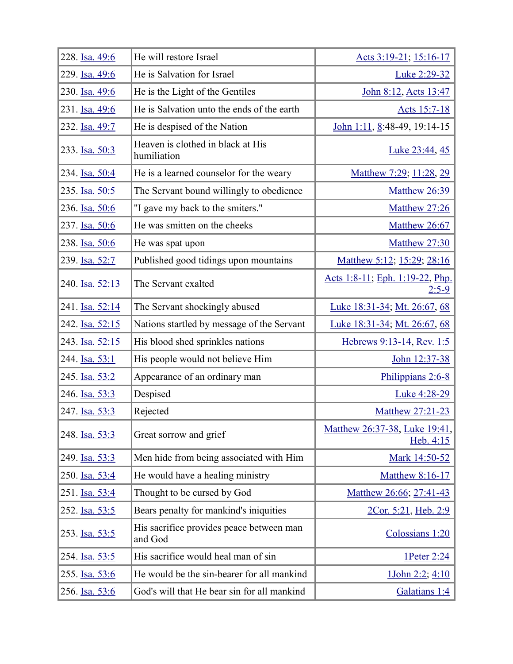| 228. Isa. 49:6  | He will restore Israel                              | Acts 3:19-21; 15:16-17                     |
|-----------------|-----------------------------------------------------|--------------------------------------------|
| 229. Isa. 49:6  | He is Salvation for Israel                          | Luke 2:29-32                               |
| 230. Isa. 49:6  | He is the Light of the Gentiles                     | John 8:12, Acts 13:47                      |
| 231. Isa. 49:6  | He is Salvation unto the ends of the earth          | Acts 15:7-18                               |
| 232. Isa. 49:7  | He is despised of the Nation                        | John 1:11, $8:48-49$ , 19:14-15            |
| 233. Isa. 50:3  | Heaven is clothed in black at His<br>humiliation    | Luke 23:44, 45                             |
| 234. Isa. 50:4  | He is a learned counselor for the weary             | Matthew 7:29; 11:28, 29                    |
| 235. Isa. 50:5  | The Servant bound willingly to obedience            | <b>Matthew 26:39</b>                       |
| 236. Isa. 50:6  | "I gave my back to the smiters."                    | Matthew 27:26                              |
| 237. Isa. 50:6  | He was smitten on the cheeks                        | Matthew 26:67                              |
| 238. Isa. 50:6  | He was spat upon                                    | Matthew 27:30                              |
| 239. Isa. 52:7  | Published good tidings upon mountains               | Matthew 5:12; 15:29; 28:16                 |
| 240. Isa. 52:13 | The Servant exalted                                 | Acts 1:8-11; Eph. 1:19-22, Php.<br>$2:5-9$ |
| 241. Isa. 52:14 | The Servant shockingly abused                       | Luke 18:31-34; Mt. 26:67, 68               |
| 242. Isa. 52:15 | Nations startled by message of the Servant          | Luke 18:31-34; Mt. 26:67, 68               |
| 243. Isa. 52:15 | His blood shed sprinkles nations                    | Hebrews 9:13-14, Rev. 1:5                  |
| 244. Isa. 53:1  | His people would not believe Him                    | John 12:37-38                              |
| 245. Isa. 53:2  | Appearance of an ordinary man                       | Philippians 2:6-8                          |
| 246. Isa. 53:3  | Despised                                            | Luke 4:28-29                               |
| 247. Isa. 53:3  | Rejected                                            | Matthew 27:21-23                           |
| 248. Isa. 53:3  | Great sorrow and grief                              | Matthew 26:37-38, Luke 19:41,<br>Heb. 4:15 |
| 249. Isa. 53:3  | Men hide from being associated with Him             | Mark 14:50-52                              |
| 250. Isa. 53:4  | He would have a healing ministry                    | Matthew 8:16-17                            |
| 251. Isa. 53:4  | Thought to be cursed by God                         | Matthew 26:66; 27:41-43                    |
| 252. Isa. 53:5  | Bears penalty for mankind's iniquities              | 2Cor. 5:21, Heb. 2:9                       |
| 253. Isa. 53:5  | His sacrifice provides peace between man<br>and God | Colossians 1:20                            |
| 254. Isa. 53:5  | His sacrifice would heal man of sin                 | 1Peter 2:24                                |
| 255. Isa. 53:6  | He would be the sin-bearer for all mankind          | 1John 2:2; 4:10                            |
| 256. Isa. 53:6  | God's will that He bear sin for all mankind         | Galatians 1:4                              |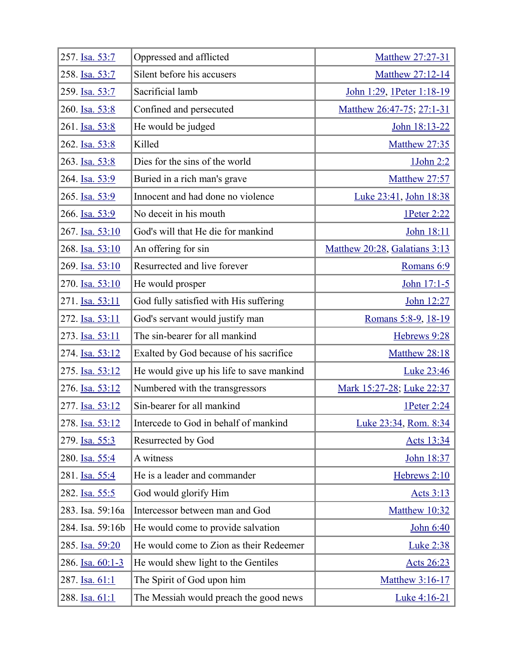| 257. Isa. 53:7   | Oppressed and afflicted                   | Matthew 27:27-31              |
|------------------|-------------------------------------------|-------------------------------|
| 258. Isa. 53:7   | Silent before his accusers                | Matthew 27:12-14              |
| 259. Isa. 53:7   | Sacrificial lamb                          | John 1:29, 1Peter 1:18-19     |
| 260. Isa. 53:8   | Confined and persecuted                   | Matthew 26:47-75; 27:1-31     |
| 261. Isa. 53:8   | He would be judged                        | John 18:13-22                 |
| 262. Isa. 53:8   | Killed                                    | <b>Matthew 27:35</b>          |
| 263. Isa. 53:8   | Dies for the sins of the world            | 1John 2:2                     |
| 264. Isa. 53:9   | Buried in a rich man's grave              | Matthew 27:57                 |
| 265. Isa. 53:9   | Innocent and had done no violence         | Luke 23:41, John 18:38        |
| 266. Isa. 53:9   | No deceit in his mouth                    | 1Peter 2:22                   |
| 267. Isa. 53:10  | God's will that He die for mankind        | John 18:11                    |
| 268. Isa. 53:10  | An offering for sin                       | Matthew 20:28, Galatians 3:13 |
| 269. Isa. 53:10  | Resurrected and live forever              | Romans 6:9                    |
| 270. Isa. 53:10  | He would prosper                          | John 17:1-5                   |
| 271. Isa. 53:11  | God fully satisfied with His suffering    | John 12:27                    |
| 272. Isa. 53:11  | God's servant would justify man           | Romans 5:8-9, 18-19           |
| 273. Isa. 53:11  | The sin-bearer for all mankind            | Hebrews 9:28                  |
| 274. Isa. 53:12  | Exalted by God because of his sacrifice   | Matthew 28:18                 |
| 275. Isa. 53:12  | He would give up his life to save mankind | <b>Luke 23:46</b>             |
| 276. Isa. 53:12  | Numbered with the transgressors           | Mark 15:27-28; Luke 22:37     |
| 277. Isa. 53:12  | Sin-bearer for all mankind                | 1Peter 2:24                   |
| 278. Isa. 53:12  | Intercede to God in behalf of mankind     | Luke 23:34, Rom. 8:34         |
| 279. Isa. 55:3   | Resurrected by God                        | <u>Acts 13:34</u>             |
| 280. Isa. 55:4   | A witness                                 | John 18:37                    |
| 281. Isa. 55:4   | He is a leader and commander              | Hebrews 2:10                  |
| 282. Isa. 55:5   | God would glorify Him                     | <u>Acts 3:13</u>              |
| 283. Isa. 59:16a | Intercessor between man and God           | Matthew 10:32                 |
| 284. Isa. 59:16b | He would come to provide salvation        | John 6:40                     |
| 285. Isa. 59:20  | He would come to Zion as their Redeemer   | <b>Luke 2:38</b>              |
| 286. Isa. 60:1-3 | He would shew light to the Gentiles       | <u>Acts 26:23</u>             |
| 287. Isa. 61:1   | The Spirit of God upon him                | Matthew 3:16-17               |
| 288. Isa. 61:1   | The Messiah would preach the good news    | Luke 4:16-21                  |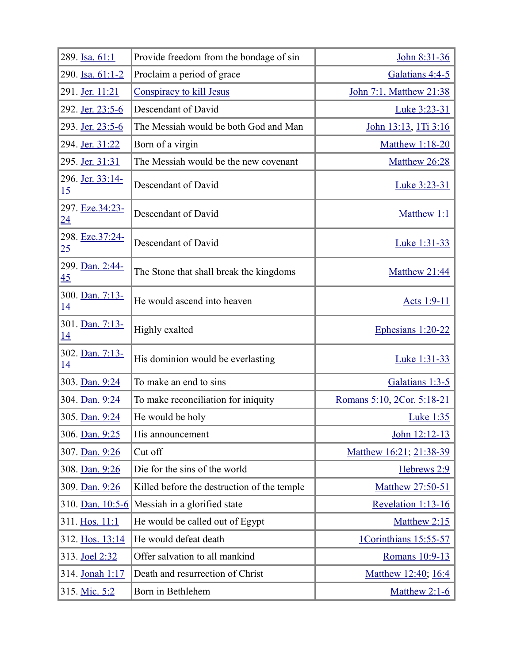| 289. Isa. 61:1               | Provide freedom from the bondage of sin     | John 8:31-36               |
|------------------------------|---------------------------------------------|----------------------------|
| 290. Isa. 61:1-2             | Proclaim a period of grace                  | Galatians 4:4-5            |
| 291. Jer. 11:21              | Conspiracy to kill Jesus                    | John 7:1, Matthew 21:38    |
| 292. Jer. 23:5-6             | Descendant of David                         | Luke 3:23-31               |
| 293. Jer. 23:5-6             | The Messiah would be both God and Man       | John 13:13, 1Ti 3:16       |
| 294. Jer. 31:22              | Born of a virgin                            | <b>Matthew 1:18-20</b>     |
| 295. Jer. 31:31              | The Messiah would be the new covenant       | Matthew 26:28              |
| 296. Jer. 33:14-<br>15       | Descendant of David                         | Luke 3:23-31               |
| 297. Eze.34:23-<br>24        | Descendant of David                         | Matthew 1:1                |
| 298. Eze.37:24-<br>25        | Descendant of David                         | Luke 1:31-33               |
| 299. Dan. 2:44-<br>45        | The Stone that shall break the kingdoms     | Matthew 21:44              |
| 300. Dan. 7:13-<br><u>14</u> | He would ascend into heaven                 | Acts 1:9-11                |
| 301. Dan. 7:13-<br>14        | Highly exalted                              | Ephesians 1:20-22          |
| 302. Dan. 7:13-<br><u>14</u> | His dominion would be everlasting           | Luke 1:31-33               |
| 303. Dan. 9:24               | To make an end to sins                      | Galatians 1:3-5            |
| 304. Dan. 9:24               | To make reconciliation for iniquity         | Romans 5:10, 2Cor. 5:18-21 |
| 305. Dan. 9:24               | He would be holy                            | <b>Luke 1:35</b>           |
| 306. Dan. 9:25               | His announcement                            | John 12:12-13              |
| 307. Dan. 9:26               | Cut off                                     | Matthew 16:21; 21:38-39    |
| 308. Dan. 9:26               | Die for the sins of the world               | Hebrews 2:9                |
| 309. Dan. 9:26               | Killed before the destruction of the temple | Matthew 27:50-51           |
| 310. Dan. 10:5-6             | Messiah in a glorified state                | Revelation 1:13-16         |
| 311. Hos. 11:1               | He would be called out of Egypt             | Matthew 2:15               |
| 312. Hos. 13:14              | He would defeat death                       | 1Corinthians 15:55-57      |
| 313. Joel 2:32               | Offer salvation to all mankind              | Romans 10:9-13             |
| 314. Jonah 1:17              | Death and resurrection of Christ            | Matthew 12:40; 16:4        |
| 315. Mic. 5:2                | Born in Bethlehem                           | Matthew $2:1-6$            |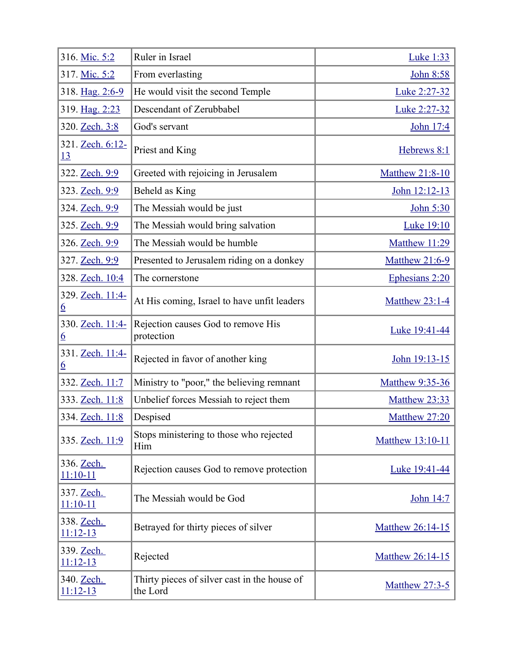| 316. Mic. 5:2                 | Ruler in Israel                                          | <b>Luke 1:33</b>      |
|-------------------------------|----------------------------------------------------------|-----------------------|
| 317. Mic. 5:2                 | From everlasting                                         | John 8:58             |
| 318. Hag. 2:6-9               | He would visit the second Temple                         | Luke 2:27-32          |
| 319. Hag. 2:23                | Descendant of Zerubbabel                                 | Luke 2:27-32          |
| 320. Zech. 3:8                | God's servant                                            | John 17:4             |
| 321. Zech. 6:12-<br><u>13</u> | Priest and King                                          | Hebrews 8:1           |
| 322. Zech. 9:9                | Greeted with rejoicing in Jerusalem                      | Matthew 21:8-10       |
| 323. Zech. 9:9                | Beheld as King                                           | John 12:12-13         |
| 324. Zech. 9:9                | The Messiah would be just                                | John 5:30             |
| 325. Zech. 9:9                | The Messiah would bring salvation                        | <b>Luke 19:10</b>     |
| 326. Zech. 9:9                | The Messiah would be humble                              | Matthew 11:29         |
| 327. Zech. 9:9                | Presented to Jerusalem riding on a donkey                | <b>Matthew 21:6-9</b> |
| 328. Zech. 10:4               | The cornerstone                                          | Ephesians 2:20        |
| 329. Zech. 11:4-<br><u>6</u>  | At His coming, Israel to have unfit leaders              | <b>Matthew 23:1-4</b> |
| 330. Zech. 11:4-<br><u>6</u>  | Rejection causes God to remove His<br>protection         | Luke 19:41-44         |
| 331. Zech. 11:4-<br><u>6</u>  | Rejected in favor of another king                        | John 19:13-15         |
| 332. Zech. 11:7               | Ministry to "poor," the believing remnant                | Matthew 9:35-36       |
| 333. Zech. 11:8               | Unbelief forces Messiah to reject them                   | Matthew 23:33         |
| 334. Zech. 11:8               | Despised                                                 | Matthew 27:20         |
| 335. Zech. 11:9               | Stops ministering to those who rejected<br>Him           | Matthew 13:10-11      |
| 336. Zech.<br>$11:10-11$      | Rejection causes God to remove protection                | Luke 19:41-44         |
| 337. Zech.<br>$11:10 - 11$    | The Messiah would be God                                 | John 14:7             |
| 338. Zech.<br>$11:12-13$      | Betrayed for thirty pieces of silver                     | Matthew 26:14-15      |
| 339. Zech.<br>$11:12-13$      | Rejected                                                 | Matthew 26:14-15      |
| 340. Zech.<br>$11:12-13$      | Thirty pieces of silver cast in the house of<br>the Lord | <b>Matthew 27:3-5</b> |